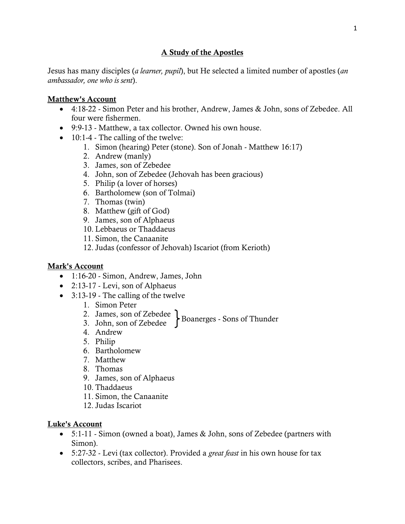# A Study of the Apostles

Jesus has many disciples (*a learner, pupil*), but He selected a limited number of apostles (*an ambassador, one who is sent*).

#### Matthew's Account

- 4:18-22 Simon Peter and his brother, Andrew, James & John, sons of Zebedee. All four were fishermen.
- 9:9-13 Matthew, a tax collector. Owned his own house.
- $\bullet$  10:1-4 The calling of the twelve:
	- 1. Simon (hearing) Peter (stone). Son of Jonah Matthew 16:17)
	- 2. Andrew (manly)
	- 3. James, son of Zebedee
	- 4. John, son of Zebedee (Jehovah has been gracious)
	- 5. Philip (a lover of horses)
	- 6. Bartholomew (son of Tolmai)
	- 7. Thomas (twin)
	- 8. Matthew (gift of God)
	- 9. James, son of Alphaeus
	- 10. Lebbaeus or Thaddaeus
	- 11. Simon, the Canaanite
	- 12. Judas (confessor of Jehovah) Iscariot (from Kerioth)

### Mark's Account

- 1:16-20 Simon, Andrew, James, John
- $\bullet$  2:13-17 Levi, son of Alphaeus
- 3:13-19 The calling of the twelve
	- 1. Simon Peter
	- 2. James, son of Zebedee
	- $\left\{\n \begin{array}{l}\n 3. & \text{John, son of Zebede}\n \end{array}\n \right\}\n$ Boanerges Sons of Thunder
	- 4. Andrew
	- 5. Philip
	- 6. Bartholomew
	- 7. Matthew
	- 8. Thomas
	- 9. James, son of Alphaeus
	- 10. Thaddaeus
	- 11. Simon, the Canaanite
	- 12. Judas Iscariot

### Luke's Account

- 5:1-11 Simon (owned a boat), James & John, sons of Zebedee (partners with Simon).
- 5:27-32 Levi (tax collector). Provided a *great feast* in his own house for tax collectors, scribes, and Pharisees.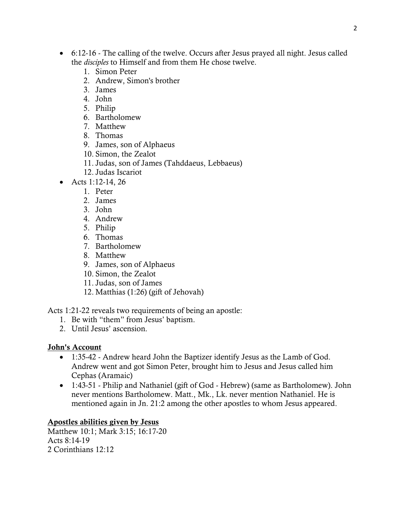- 6:12-16 The calling of the twelve. Occurs after Jesus prayed all night. Jesus called the *disciples* to Himself and from them He chose twelve.
	- 1. Simon Peter
	- 2. Andrew, Simon's brother
	- 3. James
	- 4. John
	- 5. Philip
	- 6. Bartholomew
	- 7. Matthew
	- 8. Thomas
	- 9. James, son of Alphaeus
	- 10. Simon, the Zealot
	- 11. Judas, son of James (Tahddaeus, Lebbaeus)
	- 12. Judas Iscariot
- Acts 1:12-14, 26
	- 1. Peter
	- 2. James
	- 3. John
	- 4. Andrew
	- 5. Philip
	- 6. Thomas
	- 7. Bartholomew
	- 8. Matthew
	- 9. James, son of Alphaeus
	- 10. Simon, the Zealot
	- 11. Judas, son of James
	- 12. Matthias (1:26) (gift of Jehovah)

Acts 1:21-22 reveals two requirements of being an apostle:

- 1. Be with "them" from Jesus' baptism.
- 2. Until Jesus' ascension.

# John's Account

- 1:35-42 Andrew heard John the Baptizer identify Jesus as the Lamb of God. Andrew went and got Simon Peter, brought him to Jesus and Jesus called him Cephas (Aramaic)
- 1:43-51 Philip and Nathaniel (gift of God Hebrew) (same as Bartholomew). John never mentions Bartholomew. Matt., Mk., Lk. never mention Nathaniel. He is mentioned again in Jn. 21:2 among the other apostles to whom Jesus appeared.

# Apostles abilities given by Jesus

Matthew 10:1; Mark 3:15; 16:17-20 Acts 8:14-19 2 Corinthians 12:12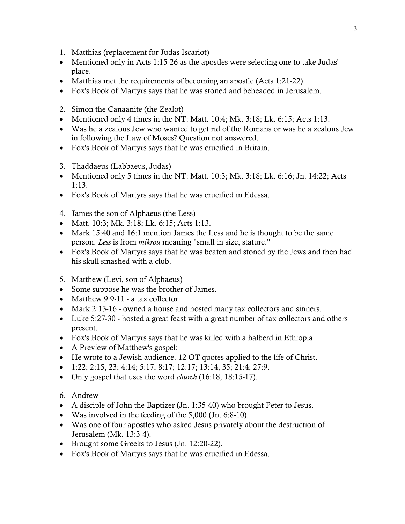- 1. Matthias (replacement for Judas Iscariot)
- Mentioned only in Acts 1:15-26 as the apostles were selecting one to take Judas' place.
- Matthias met the requirements of becoming an apostle (Acts 1:21-22).
- Fox's Book of Martyrs says that he was stoned and beheaded in Jerusalem.
- 2. Simon the Canaanite (the Zealot)
- Mentioned only 4 times in the NT: Matt. 10:4; Mk. 3:18; Lk. 6:15; Acts 1:13.
- Was he a zealous Jew who wanted to get rid of the Romans or was he a zealous Jew in following the Law of Moses? Question not answered.
- Fox's Book of Martyrs says that he was crucified in Britain.
- 3. Thaddaeus (Labbaeus, Judas)
- Mentioned only 5 times in the NT: Matt.  $10:3$ ; Mk.  $3:18$ ; Lk.  $6:16$ ; Jn.  $14:22$ ; Acts 1:13.
- Fox's Book of Martyrs says that he was crucified in Edessa.
- 4. James the son of Alphaeus (the Less)
- Matt. 10:3; Mk. 3:18; Lk. 6:15; Acts 1:13.
- Mark 15:40 and 16:1 mention James the Less and he is thought to be the same person. *Less* is from *mikrou* meaning "small in size, stature."
- Fox's Book of Martyrs says that he was beaten and stoned by the Jews and then had his skull smashed with a club.
- 5. Matthew (Levi, son of Alphaeus)
- Some suppose he was the brother of James.
- Matthew 9:9-11 a tax collector.
- Mark 2:13-16 owned a house and hosted many tax collectors and sinners.
- Luke 5:27-30 hosted a great feast with a great number of tax collectors and others present.
- Fox's Book of Martyrs says that he was killed with a halberd in Ethiopia.
- A Preview of Matthew's gospel:
- He wrote to a Jewish audience. 12 OT quotes applied to the life of Christ.
- $\bullet$  1:22; 2:15, 23; 4:14; 5:17; 8:17; 12:17; 13:14, 35; 21:4; 27:9.
- Only gospel that uses the word *church* (16:18; 18:15-17).
- 6. Andrew
- A disciple of John the Baptizer (Jn. 1:35-40) who brought Peter to Jesus.
- Was involved in the feeding of the 5,000 (Jn. 6:8-10).
- Was one of four apostles who asked Jesus privately about the destruction of Jerusalem (Mk. 13:3-4).
- Brought some Greeks to Jesus (Jn. 12:20-22).
- Fox's Book of Martyrs says that he was crucified in Edessa.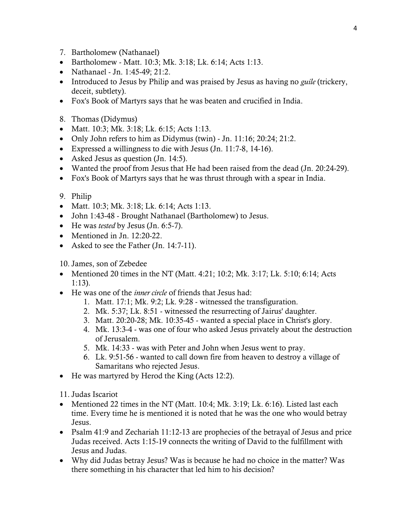- 7. Bartholomew (Nathanael)
- Bartholomew Matt. 10:3; Mk. 3:18; Lk. 6:14; Acts 1:13.
- Nathanael Jn. 1:45-49; 21:2.
- Introduced to Jesus by Philip and was praised by Jesus as having no *guile* (trickery, deceit, subtlety).
- Fox's Book of Martyrs says that he was beaten and crucified in India.
- 8. Thomas (Didymus)
- Matt. 10:3; Mk. 3:18; Lk. 6:15; Acts 1:13.
- Only John refers to him as Didymus (twin) Jn. 11:16; 20:24; 21:2.
- Expressed a willingness to die with Jesus (Jn. 11:7-8, 14-16).
- Asked Jesus as question (Jn. 14:5).
- Wanted the proof from Jesus that He had been raised from the dead (Jn. 20:24-29).
- Fox's Book of Martyrs says that he was thrust through with a spear in India.

### 9. Philip

- Matt. 10:3; Mk. 3:18; Lk. 6:14; Acts 1:13.
- John 1:43-48 Brought Nathanael (Bartholomew) to Jesus.
- He was *tested* by Jesus (Jn. 6:5-7).
- Mentioned in Jn. 12:20-22.
- Asked to see the Father (Jn. 14:7-11).

### 10. James, son of Zebedee

- Mentioned 20 times in the NT (Matt. 4:21; 10:2; Mk. 3:17; Lk. 5:10; 6:14; Acts 1:13).
- He was one of the *inner circle* of friends that Jesus had:
	- 1. Matt. 17:1; Mk. 9:2; Lk. 9:28 witnessed the transfiguration.
	- 2. Mk. 5:37; Lk. 8:51 witnessed the resurrecting of Jairus' daughter.
	- 3. Matt. 20:20-28; Mk. 10:35-45 wanted a special place in Christ's glory.
	- 4. Mk. 13:3-4 was one of four who asked Jesus privately about the destruction of Jerusalem.
	- 5. Mk. 14:33 was with Peter and John when Jesus went to pray.
	- 6. Lk. 9:51-56 wanted to call down fire from heaven to destroy a village of Samaritans who rejected Jesus.
- He was martyred by Herod the King (Acts 12:2).

### 11. Judas Iscariot

- Mentioned 22 times in the NT (Matt. 10:4; Mk. 3:19; Lk. 6:16). Listed last each time. Every time he is mentioned it is noted that he was the one who would betray Jesus.
- Psalm 41:9 and Zechariah 11:12-13 are prophecies of the betrayal of Jesus and price Judas received. Acts 1:15-19 connects the writing of David to the fulfillment with Jesus and Judas.
- Why did Judas betray Jesus? Was is because he had no choice in the matter? Was there something in his character that led him to his decision?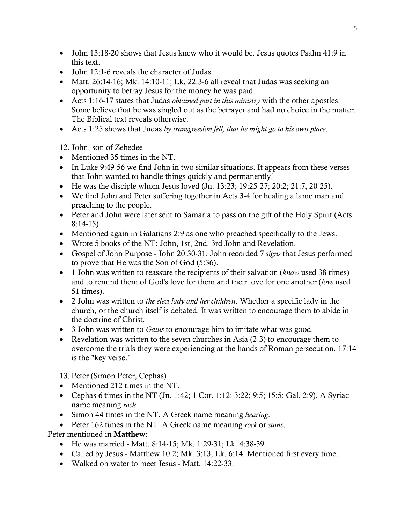- John 13:18-20 shows that Jesus knew who it would be. Jesus quotes Psalm 41:9 in this text.
- John 12:1-6 reveals the character of Judas.
- Matt. 26:14-16; Mk. 14:10-11; Lk. 22:3-6 all reveal that Judas was seeking an opportunity to betray Jesus for the money he was paid.
- Acts 1:16-17 states that Judas *obtained part in this ministry* with the other apostles. Some believe that he was singled out as the betrayer and had no choice in the matter. The Biblical text reveals otherwise.
- Acts 1:25 shows that Judas *by transgression fell, that he might go to his own place*.

12. John, son of Zebedee

- Mentioned 35 times in the NT.
- In Luke 9:49-56 we find John in two similar situations. It appears from these verses that John wanted to handle things quickly and permanently!
- He was the disciple whom Jesus loved  $(In. 13:23; 19:25-27; 20:2; 21:7, 20-25).$
- We find John and Peter suffering together in Acts 3-4 for healing a lame man and preaching to the people.
- Peter and John were later sent to Samaria to pass on the gift of the Holy Spirit (Acts 8:14-15).
- Mentioned again in Galatians 2:9 as one who preached specifically to the Jews.
- Wrote 5 books of the NT: John, 1st, 2nd, 3rd John and Revelation.
- Gospel of John Purpose John 20:30-31. John recorded 7 *signs* that Jesus performed to prove that He was the Son of God (5:36).
- 1 John was written to reassure the recipients of their salvation (*know* used 38 times) and to remind them of God's love for them and their love for one another (*love* used 51 times).
- 2 John was written to *the elect lady and her children*. Whether a specific lady in the church, or the church itself is debated. It was written to encourage them to abide in the doctrine of Christ.
- 3 John was written to *Gaius* to encourage him to imitate what was good.
- Revelation was written to the seven churches in Asia (2-3) to encourage them to overcome the trials they were experiencing at the hands of Roman persecution. 17:14 is the "key verse."

13. Peter (Simon Peter, Cephas)

- Mentioned 212 times in the NT.
- Cephas 6 times in the NT (Jn. 1:42; 1 Cor. 1:12; 3:22; 9:5; 15:5; Gal. 2:9). A Syriac name meaning *rock*.
- Simon 44 times in the NT. A Greek name meaning *hearing*.
- Peter 162 times in the NT. A Greek name meaning *rock* or *stone*.

Peter mentioned in Matthew:

- He was married Matt. 8:14-15; Mk. 1:29-31; Lk. 4:38-39.
- Called by Jesus Matthew 10:2; Mk. 3:13; Lk. 6:14. Mentioned first every time.
- Walked on water to meet Jesus Matt. 14:22-33.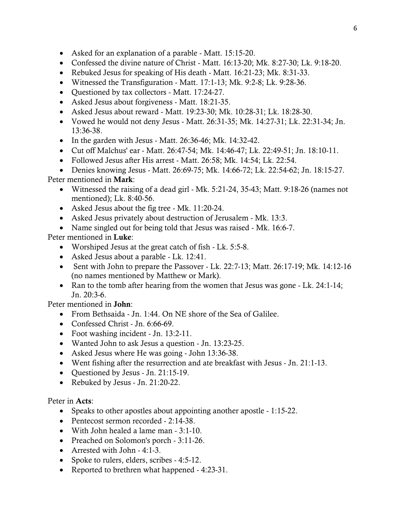- Asked for an explanation of a parable Matt. 15:15-20.
- Confessed the divine nature of Christ Matt. 16:13-20; Mk. 8:27-30; Lk. 9:18-20.
- Rebuked Jesus for speaking of His death Matt. 16:21-23; Mk. 8:31-33.
- Witnessed the Transfiguration Matt. 17:1-13; Mk. 9:2-8; Lk. 9:28-36.
- Questioned by tax collectors Matt. 17:24-27.
- Asked Jesus about forgiveness Matt. 18:21-35.
- Asked Jesus about reward Matt. 19:23-30; Mk. 10:28-31; Lk. 18:28-30.
- Vowed he would not deny Jesus Matt. 26:31-35; Mk. 14:27-31; Lk. 22:31-34; Jn. 13:36-38.
- In the garden with Jesus Matt. 26:36-46; Mk. 14:32-42.
- Cut off Malchus' ear Matt. 26:47-54; Mk. 14:46-47; Lk. 22:49-51; Jn. 18:10-11.
- Followed Jesus after His arrest Matt. 26:58; Mk. 14:54; Lk. 22:54.
- Denies knowing Jesus Matt. 26:69-75; Mk. 14:66-72; Lk. 22:54-62; Jn. 18:15-27.

Peter mentioned in Mark:

- Witnessed the raising of a dead girl Mk. 5:21-24, 35-43; Matt. 9:18-26 (names not mentioned); Lk. 8:40-56.
- Asked Jesus about the fig tree Mk. 11:20-24.
- Asked Jesus privately about destruction of Jerusalem Mk. 13:3.
- Name singled out for being told that Jesus was raised Mk. 16:6-7.

Peter mentioned in Luke:

- Worshiped Jesus at the great catch of fish Lk. 5:5-8.
- Asked Jesus about a parable Lk. 12:41.
- Sent with John to prepare the Passover Lk. 22:7-13; Matt. 26:17-19; Mk. 14:12-16 (no names mentioned by Matthew or Mark).
- Ran to the tomb after hearing from the women that Jesus was gone Lk. 24:1-14; Jn. 20:3-6.

Peter mentioned in John:

- From Bethsaida Jn. 1:44. On NE shore of the Sea of Galilee.
- Confessed Christ Jn. 6:66-69.
- Foot washing incident Jn. 13:2-11.
- Wanted John to ask Jesus a question Jn. 13:23-25.
- Asked Jesus where He was going John 13:36-38.
- Went fishing after the resurrection and ate breakfast with Jesus Jn. 21:1-13.
- Questioned by Jesus Jn. 21:15-19.
- Rebuked by Jesus Jn. 21:20-22.

Peter in Acts:

- Speaks to other apostles about appointing another apostle 1:15-22.
- Pentecost sermon recorded 2:14-38.
- With John healed a lame man 3:1-10.
- Preached on Solomon's porch 3:11-26.
- Arrested with John 4:1-3.
- Spoke to rulers, elders, scribes 4:5-12.
- Reported to brethren what happened 4:23-31.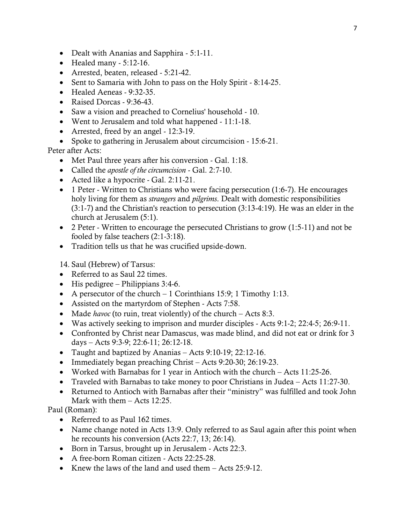- Dealt with Ananias and Sapphira 5:1-11.
- $\bullet$  Healed many 5:12-16.
- Arrested, beaten, released 5:21-42.
- Sent to Samaria with John to pass on the Holy Spirit 8:14-25.
- Healed Aeneas 9:32-35.
- Raised Dorcas 9:36-43.
- Saw a vision and preached to Cornelius' household 10.
- Went to Jerusalem and told what happened 11:1-18.
- Arrested, freed by an angel 12:3-19.
- Spoke to gathering in Jerusalem about circumcision 15:6-21.

Peter after Acts:

- Met Paul three years after his conversion Gal. 1:18.
- Called the *apostle of the circumcision* Gal. 2:7-10.
- Acted like a hypocrite Gal. 2:11-21.
- 1 Peter Written to Christians who were facing persecution (1:6-7). He encourages holy living for them as *strangers* and *pilgrims*. Dealt with domestic responsibilities (3:1-7) and the Christian's reaction to persecution (3:13-4:19). He was an elder in the church at Jerusalem (5:1).
- 2 Peter Written to encourage the persecuted Christians to grow (1:5-11) and not be fooled by false teachers (2:1-3:18).
- Tradition tells us that he was crucified upside-down.

14. Saul (Hebrew) of Tarsus:

- Referred to as Saul 22 times.
- His pedigree Philippians  $3:4-6$ .
- A persecutor of the church 1 Corinthians 15:9; 1 Timothy 1:13.
- Assisted on the martyrdom of Stephen Acts 7:58.
- Made *havoc* (to ruin, treat violently) of the church Acts 8:3.
- Was actively seeking to imprison and murder disciples Acts 9:1-2; 22:4-5; 26:9-11.
- Confronted by Christ near Damascus, was made blind, and did not eat or drink for 3 days – Acts 9:3-9; 22:6-11; 26:12-18.
- Taught and baptized by Ananias Acts 9:10-19; 22:12-16.
- Immediately began preaching Christ Acts 9:20-30; 26:19-23.
- Worked with Barnabas for 1 year in Antioch with the church Acts 11:25-26.
- Traveled with Barnabas to take money to poor Christians in Judea Acts 11:27-30.
- Returned to Antioch with Barnabas after their "ministry" was fulfilled and took John Mark with them – Acts 12:25.

Paul (Roman):

- Referred to as Paul 162 times.
- Name change noted in Acts 13:9. Only referred to as Saul again after this point when he recounts his conversion (Acts 22:7, 13; 26:14).
- Born in Tarsus, brought up in Jerusalem Acts 22:3.
- A free-born Roman citizen Acts 22:25-28.
- Knew the laws of the land and used them Acts 25:9-12.